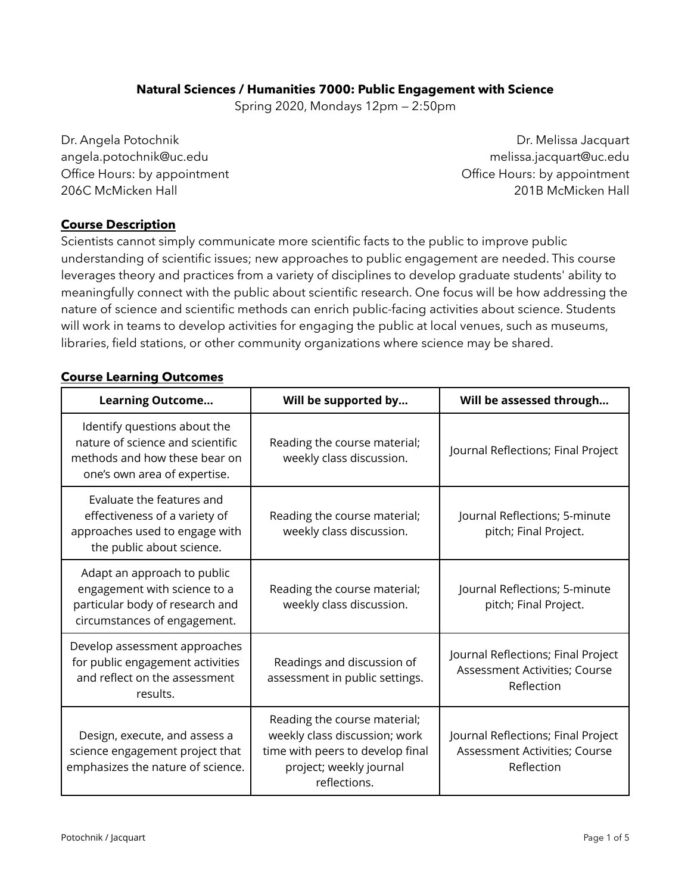### **Natural Sciences / Humanities 7000: Public Engagement with Science**

Spring 2020, Mondays 12pm — 2:50pm

Dr. Angela Potochnik angela.potochnik@uc.edu Office Hours: by appointment 206C McMicken Hall

Dr. Melissa Jacquart melissa.jacquart@uc.edu Office Hours: by appointment 201B McMicken Hall

#### **Course Description**

Scientists cannot simply communicate more scientific facts to the public to improve public understanding of scientific issues; new approaches to public engagement are needed. This course leverages theory and practices from a variety of disciplines to develop graduate students' ability to meaningfully connect with the public about scientific research. One focus will be how addressing the nature of science and scientific methods can enrich public-facing activities about science. Students will work in teams to develop activities for engaging the public at local venues, such as museums, libraries, field stations, or other community organizations where science may be shared.

#### **Course Learning Outcomes**

| <b>Learning Outcome</b>                                                                                                           | Will be supported by                                                                                                                         | Will be assessed through                                                          |
|-----------------------------------------------------------------------------------------------------------------------------------|----------------------------------------------------------------------------------------------------------------------------------------------|-----------------------------------------------------------------------------------|
| Identify questions about the<br>nature of science and scientific<br>methods and how these bear on<br>one's own area of expertise. | Reading the course material;<br>weekly class discussion.                                                                                     | Journal Reflections; Final Project                                                |
| Evaluate the features and<br>effectiveness of a variety of<br>approaches used to engage with<br>the public about science.         | Reading the course material;<br>weekly class discussion.                                                                                     | Journal Reflections; 5-minute<br>pitch; Final Project.                            |
| Adapt an approach to public<br>engagement with science to a<br>particular body of research and<br>circumstances of engagement.    | Reading the course material;<br>weekly class discussion.                                                                                     | Journal Reflections; 5-minute<br>pitch; Final Project.                            |
| Develop assessment approaches<br>for public engagement activities<br>and reflect on the assessment<br>results.                    | Readings and discussion of<br>assessment in public settings.                                                                                 | Journal Reflections; Final Project<br>Assessment Activities; Course<br>Reflection |
| Design, execute, and assess a<br>science engagement project that<br>emphasizes the nature of science.                             | Reading the course material;<br>weekly class discussion; work<br>time with peers to develop final<br>project; weekly journal<br>reflections. | Journal Reflections; Final Project<br>Assessment Activities; Course<br>Reflection |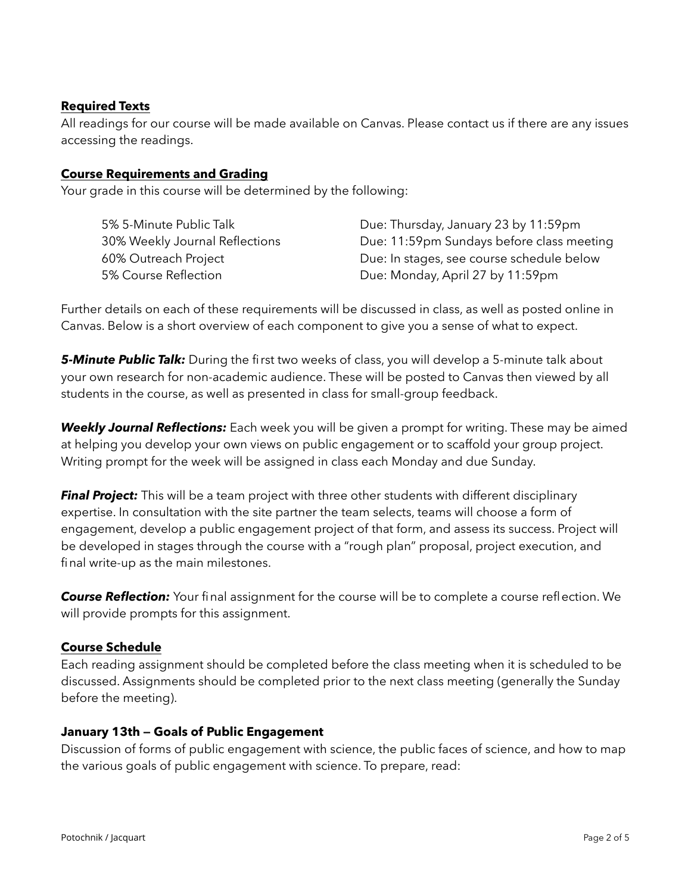### **Required Texts**

All readings for our course will be made available on Canvas. Please contact us if there are any issues accessing the readings.

#### **Course Requirements and Grading**

Your grade in this course will be determined by the following:

| 5% 5-Minute Public Talk        | Due: Thursday, January 23 by 11:59pm      |
|--------------------------------|-------------------------------------------|
| 30% Weekly Journal Reflections | Due: 11:59pm Sundays before class meeting |
| 60% Outreach Project           | Due: In stages, see course schedule below |
| 5% Course Reflection           | Due: Monday, April 27 by 11:59pm          |

Further details on each of these requirements will be discussed in class, as well as posted online in Canvas. Below is a short overview of each component to give you a sense of what to expect.

*5-Minute Public Talk:* During the first two weeks of class, you will develop a 5-minute talk about your own research for non-academic audience. These will be posted to Canvas then viewed by all students in the course, as well as presented in class for small-group feedback.

*Weekly Journal Reflections:* Each week you will be given a prompt for writing. These may be aimed at helping you develop your own views on public engagement or to scaffold your group project. Writing prompt for the week will be assigned in class each Monday and due Sunday.

**Final Project:** This will be a team project with three other students with different disciplinary expertise. In consultation with the site partner the team selects, teams will choose a form of engagement, develop a public engagement project of that form, and assess its success. Project will be developed in stages through the course with a "rough plan" proposal, project execution, and final write-up as the main milestones.

*Course Reflection:* Your final assignment for the course will be to complete a course reflection. We will provide prompts for this assignment.

#### **Course Schedule**

Each reading assignment should be completed before the class meeting when it is scheduled to be discussed. Assignments should be completed prior to the next class meeting (generally the Sunday before the meeting).

#### **January 13th — Goals of Public Engagement**

Discussion of forms of public engagement with science, the public faces of science, and how to map the various goals of public engagement with science. To prepare, read: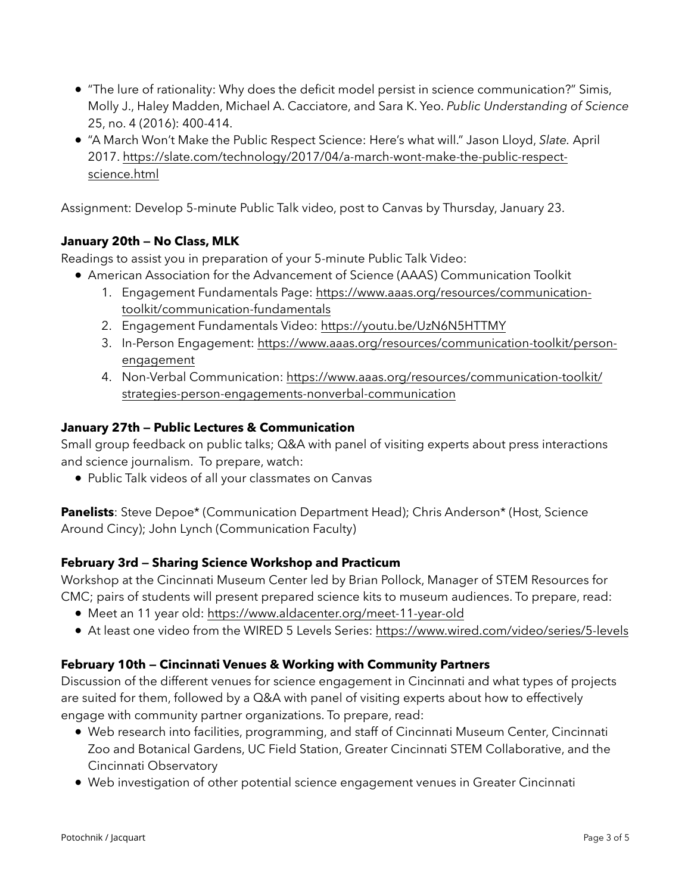- "The lure of rationality: Why does the deficit model persist in science communication?" Simis, Molly J., Haley Madden, Michael A. Cacciatore, and Sara K. Yeo. *Public Understanding of Science*  25, no. 4 (2016): 400-414.
- "A March Won't Make the Public Respect Science: Here's what will." Jason Lloyd, *Slate.* April 2017. [https://slate.com/technology/2017/04/a-march-wont-make-the-public-respect](https://slate.com/technology/2017/04/a-march-wont-make-the-public-respect-science.html)[science.html](https://slate.com/technology/2017/04/a-march-wont-make-the-public-respect-science.html)

Assignment: Develop 5-minute Public Talk video, post to Canvas by Thursday, January 23.

# **January 20th — No Class, MLK**

Readings to assist you in preparation of your 5-minute Public Talk Video:

- American Association for the Advancement of Science (AAAS) Communication Toolkit
	- 1. Engagement Fundamentals Page: [https://www.aaas.org/resources/communication](https://www.aaas.org/resources/communication-toolkit/communication-fundamentals)[toolkit/communication-fundamentals](https://www.aaas.org/resources/communication-toolkit/communication-fundamentals)
	- 2. Engagement Fundamentals Video:<https://youtu.be/UzN6N5HTTMY>
	- 3. In-Person Engagement: [https://www.aaas.org/resources/communication-toolkit/person](https://www.aaas.org/resources/communication-toolkit/person-engagement)[engagement](https://www.aaas.org/resources/communication-toolkit/person-engagement)
	- 4. Non-Verbal Communication: [https://www.aaas.org/resources/communication-toolkit/](https://www.aaas.org/resources/communication-toolkit/strategies-person-engagements-nonverbal-communication) [strategies-person-engagements-nonverbal-communication](https://www.aaas.org/resources/communication-toolkit/strategies-person-engagements-nonverbal-communication)

## **January 27th — Public Lectures & Communication**

Small group feedback on public talks; Q&A with panel of visiting experts about press interactions and science journalism. To prepare, watch:

• Public Talk videos of all your classmates on Canvas

**Panelists**: Steve Depoe\* (Communication Department Head); Chris Anderson\* (Host, Science Around Cincy); John Lynch (Communication Faculty)

# **February 3rd — Sharing Science Workshop and Practicum**

Workshop at the Cincinnati Museum Center led by Brian Pollock, Manager of STEM Resources for CMC; pairs of students will present prepared science kits to museum audiences. To prepare, read:

- Meet an 11 year old: <https://www.aldacenter.org/meet-11-year-old>
- At least one video from the WIRED 5 Levels Series:<https://www.wired.com/video/series/5-levels>

# **February 10th — Cincinnati Venues & Working with Community Partners**

Discussion of the different venues for science engagement in Cincinnati and what types of projects are suited for them, followed by a Q&A with panel of visiting experts about how to effectively engage with community partner organizations. To prepare, read:

- Web research into facilities, programming, and staff of Cincinnati Museum Center, Cincinnati Zoo and Botanical Gardens, UC Field Station, Greater Cincinnati STEM Collaborative, and the Cincinnati Observatory
- Web investigation of other potential science engagement venues in Greater Cincinnati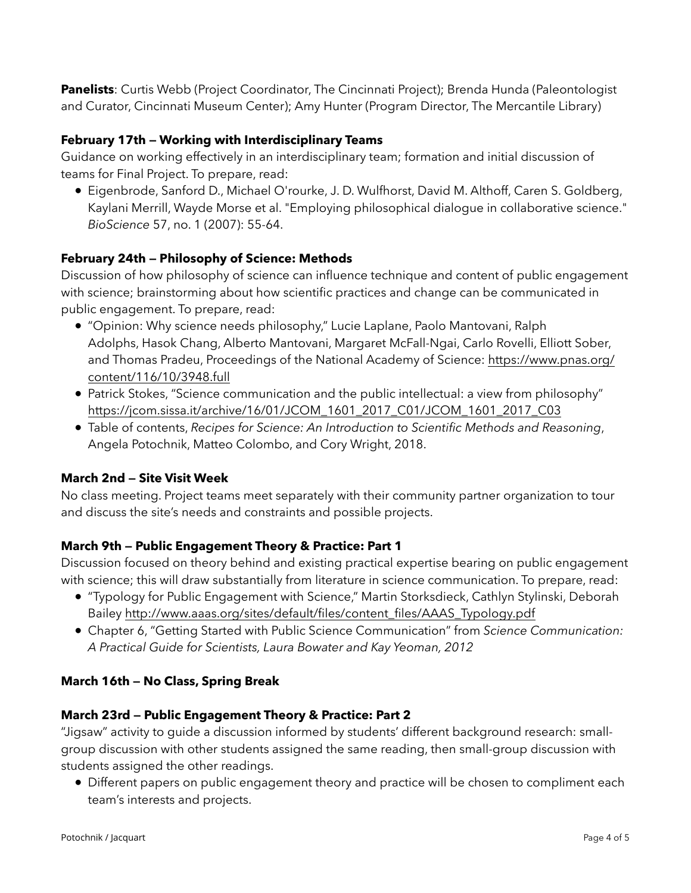**Panelists**: Curtis Webb (Project Coordinator, The Cincinnati Project); Brenda Hunda (Paleontologist and Curator, Cincinnati Museum Center); Amy Hunter (Program Director, The Mercantile Library)

## **February 17th — Working with Interdisciplinary Teams**

Guidance on working effectively in an interdisciplinary team; formation and initial discussion of teams for Final Project. To prepare, read:

• Eigenbrode, Sanford D., Michael O'rourke, J. D. Wulfhorst, David M. Althoff, Caren S. Goldberg, Kaylani Merrill, Wayde Morse et al. "Employing philosophical dialogue in collaborative science." *BioScience* 57, no. 1 (2007): 55-64.

# **February 24th — Philosophy of Science: Methods**

Discussion of how philosophy of science can influence technique and content of public engagement with science; brainstorming about how scientific practices and change can be communicated in public engagement. To prepare, read:

- "Opinion: Why science needs philosophy," Lucie Laplane, Paolo Mantovani, Ralph Adolphs, Hasok Chang, Alberto Mantovani, Margaret McFall-Ngai, Carlo Rovelli, Elliott Sober, and Thomas Pradeu, Proceedings of the National Academy of Science: [https://www.pnas.org/](https://www.pnas.org/content/116/10/3948.full) [content/116/10/3948.full](https://www.pnas.org/content/116/10/3948.full)
- Patrick Stokes, "Science communication and the public intellectual: a view from philosophy" [https://jcom.sissa.it/archive/16/01/JCOM\\_1601\\_2017\\_C01/JCOM\\_1601\\_2017\\_C03](https://jcom.sissa.it/archive/16/01/JCOM_1601_2017_C01/JCOM_1601_2017_C03)
- Table of contents, *Recipes for Science: An Introduction to Scientific Methods and Reasoning*, Angela Potochnik, Matteo Colombo, and Cory Wright, 2018.

## **March 2nd — Site Visit Week**

No class meeting. Project teams meet separately with their community partner organization to tour and discuss the site's needs and constraints and possible projects.

## **March 9th — Public Engagement Theory & Practice: Part 1**

Discussion focused on theory behind and existing practical expertise bearing on public engagement with science; this will draw substantially from literature in science communication. To prepare, read:

- "Typology for Public Engagement with Science," Martin Storksdieck, Cathlyn Stylinski, Deborah Bailey [http://www.aaas.org/sites/default/files/content\\_files/AAAS\\_Typology.pdf](http://www.aaas.org/sites/default/files/content_files/AAAS_Typology.pdf)
- Chapter 6, "Getting Started with Public Science Communication" from *Science Communication: A Practical Guide for Scientists, Laura Bowater and Kay Yeoman, 2012*

## **March 16th — No Class, Spring Break**

# **March 23rd — Public Engagement Theory & Practice: Part 2**

"Jigsaw" activity to guide a discussion informed by students' different background research: smallgroup discussion with other students assigned the same reading, then small-group discussion with students assigned the other readings.

• Different papers on public engagement theory and practice will be chosen to compliment each team's interests and projects.